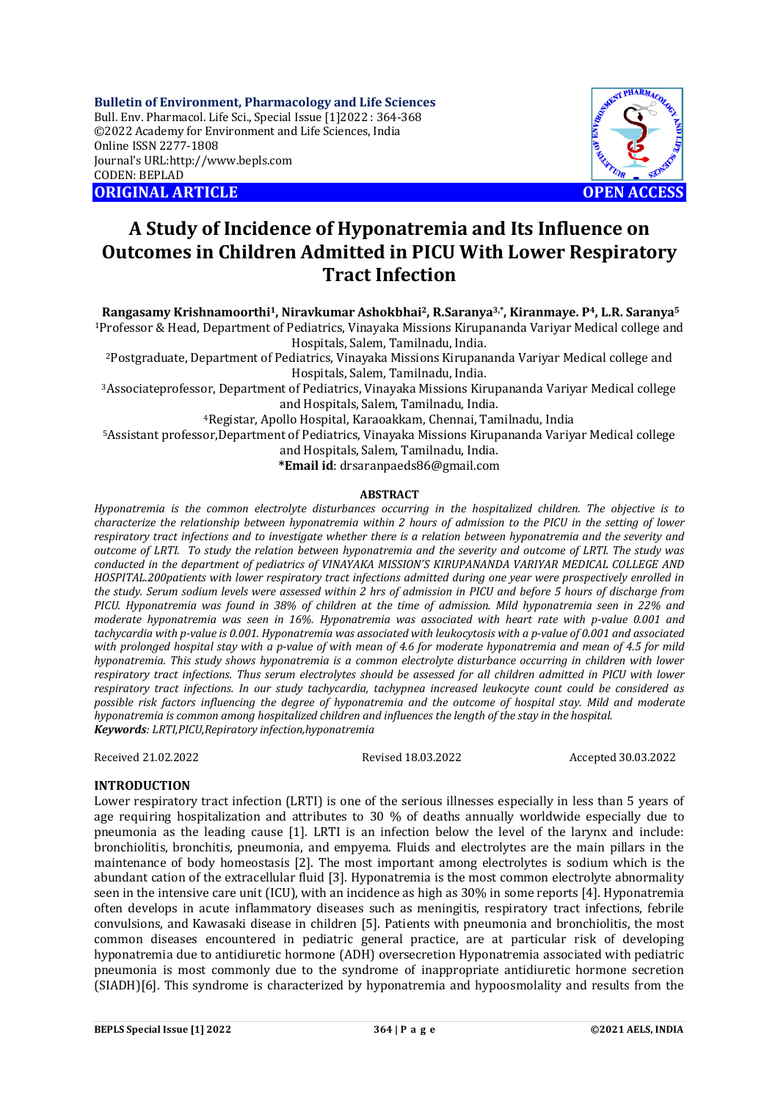**Bulletin of Environment, Pharmacology and Life Sciences** Bull. Env. Pharmacol. Life Sci., Special Issue [1]2022 : 364-368 ©2022 Academy for Environment and Life Sciences, India Online ISSN 2277-1808 Journal's URL:<http://www.bepls.com> CODEN: BEPLAD **ORIGINAL ARTICLE OPEN ACCESS** 



# **A Study of Incidence of Hyponatremia and Its Influence on Outcomes in Children Admitted in PICU With Lower Respiratory Tract Infection**

**Rangasamy Krishnamoorthi1, Niravkumar Ashokbhai2, R.Saranya3,\* , Kiranmaye. P4, L.R. Saranya<sup>5</sup>** <sup>1</sup>Professor & Head, Department of Pediatrics, Vinayaka Missions Kirupananda Variyar Medical college and Hospitals, Salem, Tamilnadu, India.

<sup>2</sup>Postgraduate, Department of Pediatrics, Vinayaka Missions Kirupananda Variyar Medical college and Hospitals, Salem, Tamilnadu, India.

<sup>3</sup>Associateprofessor, Department of Pediatrics, Vinayaka Missions Kirupananda Variyar Medical college and Hospitals, Salem, Tamilnadu, India.

<sup>4</sup>Registar, Apollo Hospital, Karaoakkam, Chennai, Tamilnadu, India

<sup>5</sup>Assistant professor,Department of Pediatrics, Vinayaka Missions Kirupananda Variyar Medical college

and Hospitals, Salem, Tamilnadu, India.

**\*Email id**: [drsaranpaeds86@gmail.com](mailto:drsaranpaeds86@gmail.com)

## **ABSTRACT**

*Hyponatremia is the common electrolyte disturbances occurring in the hospitalized children. The objective is to characterize the relationship between hyponatremia within 2 hours of admission to the PICU in the setting of lower respiratory tract infections and to investigate whether there is a relation between hyponatremia and the severity and outcome of LRTI. To study the relation between hyponatremia and the severity and outcome of LRTI. The study was conducted in the department of pediatrics of VINAYAKA MISSIONˊS KIRUPANANDA VARIYAR MEDICAL COLLEGE AND HOSPITAL.200patients with lower respiratory tract infections admitted during one year were prospectively enrolled in the study. Serum sodium levels were assessed within 2 hrs of admission in PICU and before 5 hours of discharge from PICU. Hyponatremia was found in 38% of children at the time of admission. Mild hyponatremia seen in 22% and moderate hyponatremia was seen in 16%. Hyponatremia was associated with heart rate with p-value 0.001 and tachycardia with p-value is 0.001. Hyponatremia was associated with leukocytosis with a p-value of 0.001 and associated with prolonged hospital stay with a p-value of with mean of 4.6 for moderate hyponatremia and mean of 4.5 for mild hyponatremia. This study shows hyponatremia is a common electrolyte disturbance occurring in children with lower respiratory tract infections. Thus serum electrolytes should be assessed for all children admitted in PICU with lower respiratory tract infections. In our study tachycardia, tachypnea increased leukocyte count could be considered as possible risk factors influencing the degree of hyponatremia and the outcome of hospital stay. Mild and moderate hyponatremia is common among hospitalized children and influences the length of the stay in the hospital. Keywords: LRTI,PICU,Repiratory infection,hyponatremia*

Received 21.02.2022 Revised 18.03.2022 Accepted 30.03.2022

## **INTRODUCTION**

Lower respiratory tract infection (LRTI) is one of the serious illnesses especially in less than 5 years of age requiring hospitalization and attributes to 30 % of deaths annually worldwide especially due to pneumonia as the leading cause [1]. LRTI is an infection below the level of the larynx and include: bronchiolitis, bronchitis, pneumonia, and empyema. Fluids and electrolytes are the main pillars in the maintenance of body homeostasis [2]. The most important among electrolytes is sodium which is the abundant cation of the extracellular fluid [3]. Hyponatremia is the most common electrolyte abnormality seen in the intensive care unit (ICU), with an incidence as high as 30% in some reports [4]. Hyponatremia often develops in acute inflammatory diseases such as meningitis, respiratory tract infections, febrile convulsions, and Kawasaki disease in children [5]. Patients with pneumonia and bronchiolitis, the most common diseases encountered in pediatric general practice, are at particular risk of developing hyponatremia due to antidiuretic hormone (ADH) oversecretion Hyponatremia associated with pediatric pneumonia is most commonly due to the syndrome of inappropriate antidiuretic hormone secretion (SIADH)[6]. This syndrome is characterized by hyponatremia and hypoosmolality and results from the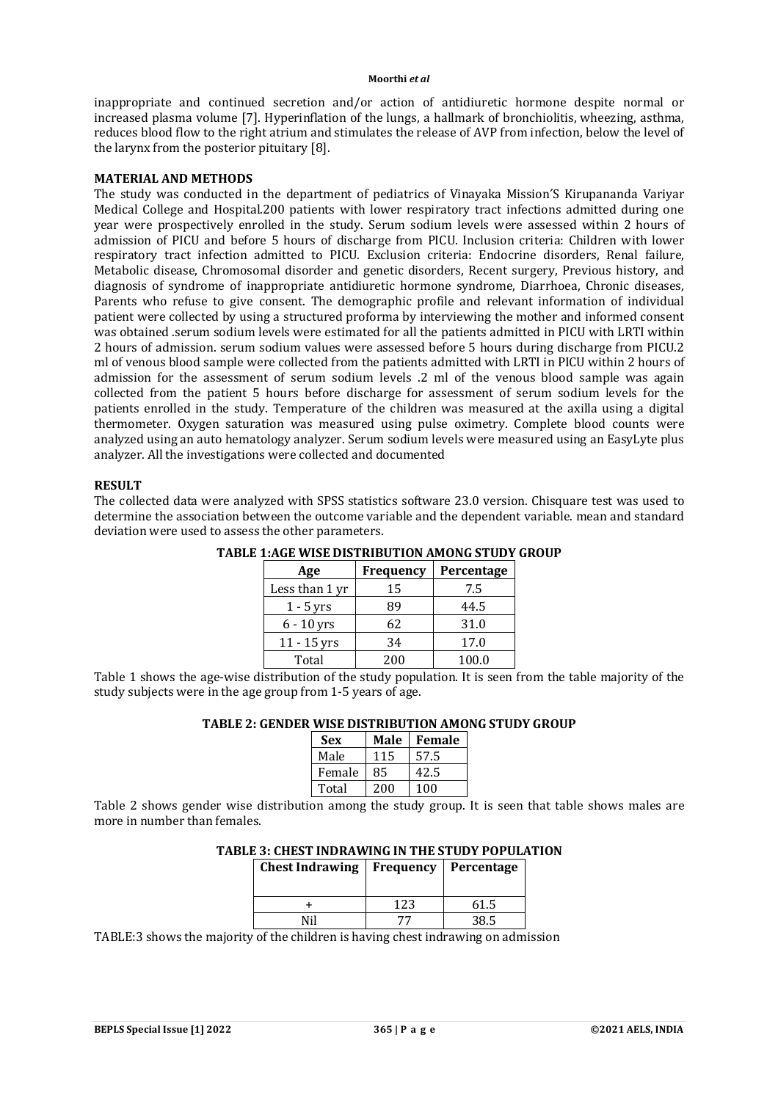inappropriate and continued secretion and/or action of antidiuretic hormone despite normal or increased plasma volume [7]. Hyperinflation of the lungs, a hallmark of bronchiolitis, wheezing, asthma, reduces blood flow to the right atrium and stimulates the release of AVP from infection, below the level of the larynx from the posterior pituitary [8].

# **MATERIAL AND METHODS**

The study was conducted in the department of pediatrics of Vinayaka MissionˊS Kirupananda Variyar Medical College and Hospital.200 patients with lower respiratory tract infections admitted during one year were prospectively enrolled in the study. Serum sodium levels were assessed within 2 hours of admission of PICU and before 5 hours of discharge from PICU. Inclusion criteria: Children with lower respiratory tract infection admitted to PICU. Exclusion criteria: Endocrine disorders, Renal failure, Metabolic disease, Chromosomal disorder and genetic disorders, Recent surgery, Previous history, and diagnosis of syndrome of inappropriate antidiuretic hormone syndrome, Diarrhoea, Chronic diseases, Parents who refuse to give consent. The demographic profile and relevant information of individual patient were collected by using a structured proforma by interviewing the mother and informed consent was obtained .serum sodium levels were estimated for all the patients admitted in PICU with LRTI within 2 hours of admission. serum sodium values were assessed before 5 hours during discharge from PICU.2 ml of venous blood sample were collected from the patients admitted with LRTI in PICU within 2 hours of admission for the assessment of serum sodium levels .2 ml of the venous blood sample was again collected from the patient 5 hours before discharge for assessment of serum sodium levels for the patients enrolled in the study. Temperature of the children was measured at the axilla using a digital thermometer. Oxygen saturation was measured using pulse oximetry. Complete blood counts were analyzed using an auto hematology analyzer. Serum sodium levels were measured using an EasyLyte plus analyzer. All the investigations were collected and documented

## **RESULT**

The collected data were analyzed with SPSS statistics software 23.0 version. Chisquare test was used to determine the association between the outcome variable and the dependent variable. mean and standard deviation were used to assess the other parameters.

| Age            | Frequency | Percentage |
|----------------|-----------|------------|
| Less than 1 yr | 15        | 7.5        |
| $1 - 5$ yrs    | 89        | 44.5       |
| $6 - 10$ yrs   | 62        | 31.0       |
| $11 - 15$ yrs  | 34        | 17.0       |
| Total          | 200       | 100.0      |

# **TABLE 1:AGE WISE DISTRIBUTION AMONG STUDY GROUP**

Table 1 shows the age-wise distribution of the study population. It is seen from the table majority of the study subjects were in the age group from 1-5 years of age.

# **TABLE 2: GENDER WISE DISTRIBUTION AMONG STUDY GROUP**

| <b>Sex</b> | Male | <b>Female</b> |
|------------|------|---------------|
| Male       | 115  | 57.5          |
| Female     | 85   | 42.5          |
| Total      | 200  | 100           |

Table 2 shows gender wise distribution among the study group. It is seen that table shows males are more in number than females.

# **TABLE 3: CHEST INDRAWING IN THE STUDY POPULATION**

| <b>Chest Indrawing</b> |     | Frequency   Percentage |
|------------------------|-----|------------------------|
|                        | 123 | 61.5                   |
|                        |     | 38.5                   |

TABLE:3 shows the majority of the children is having chest indrawing on admission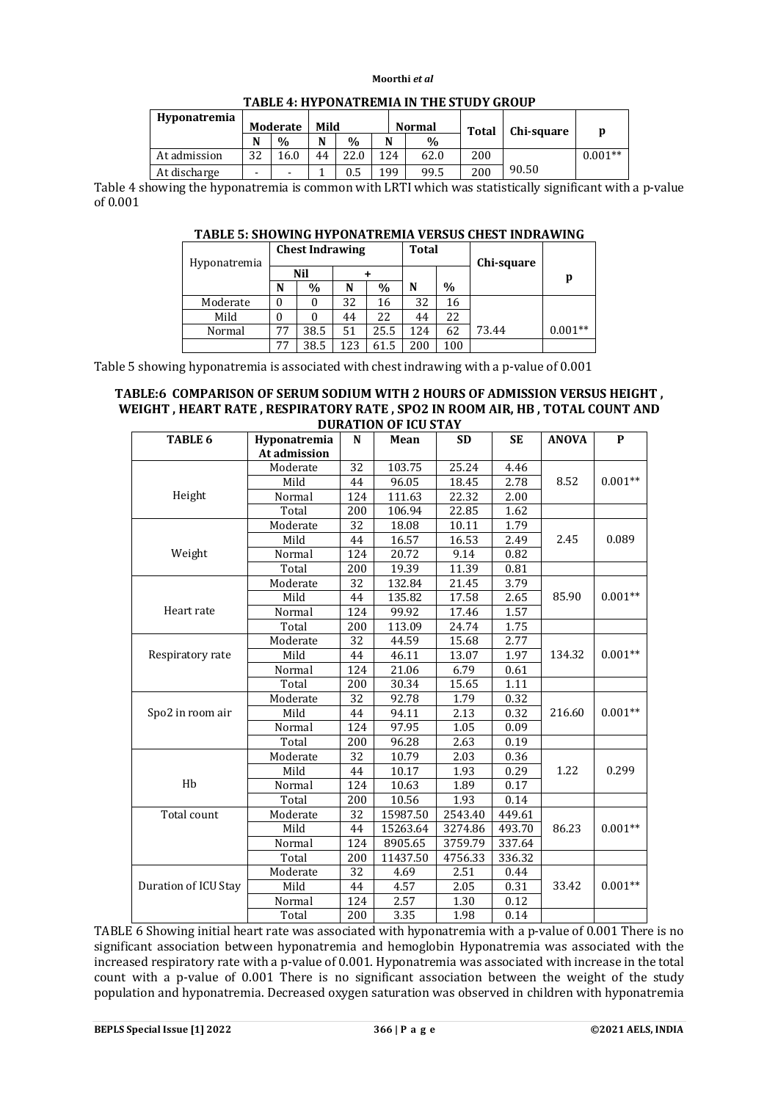| <b>Hyponatremia</b> | Moderate       |      |    | Mild          |     | <b>Normal</b> | Total | Chi-square | p         |
|---------------------|----------------|------|----|---------------|-----|---------------|-------|------------|-----------|
|                     | N              | $\%$ | N  | $\frac{0}{0}$ | N   | $\%$          |       |            |           |
| At admission        | 32             | 16.0 | 44 | 22.0          | 124 | 62.0          | 200   |            | $0.001**$ |
| At discharge        | $\blacksquare$ |      |    | 0.5           | 199 | 99.5          | 200   | 90.50      |           |

# **TABLE 4: HYPONATREMIA IN THE STUDY GROUP**

Table 4 showing the hyponatremia is common with LRTI which was statistically significant with a p-value of 0.001

# **TABLE 5: SHOWING HYPONATREMIA VERSUS CHEST INDRAWING**

|              |    | <b>Chest Indrawing</b> |     |      | <b>Total</b> |      |            |           |
|--------------|----|------------------------|-----|------|--------------|------|------------|-----------|
| Hyponatremia |    | <b>Nil</b>             |     |      |              |      | Chi-square | p         |
|              | N  | $\%$                   | N   | $\%$ | N            | $\%$ |            |           |
| Moderate     | 0  |                        | 32  | 16   | 32           | 16   |            |           |
| Mild         |    |                        | 44  | 22   | 44           | 22   |            |           |
| Normal       | 77 | 38.5                   | 51  | 25.5 | 124          | 62   | 73.44      | $0.001**$ |
|              | 77 | 38.5                   | 123 | 61.5 | 200          | 100  |            |           |

Table 5 showing hyponatremia is associated with chest indrawing with a p-value of 0.001

#### **TABLE:6 COMPARISON OF SERUM SODIUM WITH 2 HOURS OF ADMISSION VERSUS HEIGHT , WEIGHT , HEART RATE , RESPIRATORY RATE , SPO2 IN ROOM AIR, HB , TOTAL COUNT AND DURATION OF ICU STAY**

| TABLE 6              | Hyponatremia | N<br>Mean |          | <b>SD</b> | <b>SE</b> | <b>ANOVA</b> | $\mathbf{P}$ |  |
|----------------------|--------------|-----------|----------|-----------|-----------|--------------|--------------|--|
|                      | At admission |           |          |           |           |              |              |  |
|                      | Moderate     | 32        | 103.75   | 25.24     | 4.46      |              |              |  |
|                      | Mild         | 44        | 96.05    | 18.45     | 2.78      | 8.52         | $0.001**$    |  |
| Height               | Normal       | 124       | 111.63   | 22.32     | 2.00      |              |              |  |
|                      | Total        | 200       | 106.94   | 22.85     | 1.62      |              |              |  |
|                      | Moderate     | 32        | 18.08    | 10.11     | 1.79      |              |              |  |
|                      | Mild         | 44        | 16.57    | 16.53     | 2.49      | 2.45         | 0.089        |  |
| Weight               | Normal       | 124       | 20.72    | 9.14      | 0.82      |              |              |  |
|                      | Total        | 200       | 19.39    | 11.39     | 0.81      |              |              |  |
|                      | Moderate     | 32        | 132.84   | 21.45     | 3.79      |              |              |  |
|                      | Mild         | 44        | 135.82   | 17.58     | 2.65      | 85.90        | $0.001**$    |  |
| Heart rate           | Normal       | 124       | 99.92    | 17.46     | 1.57      |              |              |  |
|                      | Total        | 200       | 113.09   | 24.74     | 1.75      |              |              |  |
|                      | Moderate     | 32        | 44.59    | 15.68     | 2.77      |              |              |  |
| Respiratory rate     | Mild         | 44        | 46.11    | 13.07     | 1.97      | 134.32       | $0.001**$    |  |
|                      | Normal       | 124       | 21.06    | 6.79      | 0.61      |              |              |  |
|                      | Total        | 200       | 30.34    | 15.65     | 1.11      |              |              |  |
|                      | Moderate     | 32        | 92.78    | 1.79      | 0.32      |              |              |  |
| Spo2 in room air     | Mild         | 44        | 94.11    | 2.13      | 0.32      | 216.60       | $0.001**$    |  |
|                      | Normal       | 124       | 97.95    | 1.05      | 0.09      |              |              |  |
|                      | Total        | 200       | 96.28    | 2.63      | 0.19      |              |              |  |
|                      | Moderate     | 32        | 10.79    | 2.03      | 0.36      |              |              |  |
|                      | Mild         | 44        | 10.17    | 1.93      | 0.29      | 1.22         | 0.299        |  |
| Hb                   | Normal       | 124       | 10.63    | 1.89      | 0.17      |              |              |  |
|                      | Total        | 200       | 10.56    | 1.93      | 0.14      |              |              |  |
| Total count          | Moderate     | 32        | 15987.50 | 2543.40   | 449.61    |              |              |  |
|                      | Mild         | 44        | 15263.64 | 3274.86   | 493.70    | 86.23        | $0.001**$    |  |
|                      | Normal       | 124       | 8905.65  | 3759.79   | 337.64    |              |              |  |
|                      | Total        | 200       | 11437.50 | 4756.33   | 336.32    |              |              |  |
|                      | Moderate     | 32        | 4.69     | 2.51      | 0.44      |              |              |  |
| Duration of ICU Stay | Mild         | 44        | 4.57     | 2.05      | 0.31      | 33.42        | $0.001**$    |  |
|                      | Normal       | 124       | 2.57     | 1.30      | 0.12      |              |              |  |
|                      | Total        | 200       | 3.35     | 1.98      | 0.14      |              |              |  |

TABLE 6 Showing initial heart rate was associated with hyponatremia with a p-value of 0.001 There is no significant association between hyponatremia and hemoglobin Hyponatremia was associated with the increased respiratory rate with a p-value of 0.001. Hyponatremia was associated with increase in the total count with a p-value of 0.001 There is no significant association between the weight of the study population and hyponatremia. Decreased oxygen saturation was observed in children with hyponatremia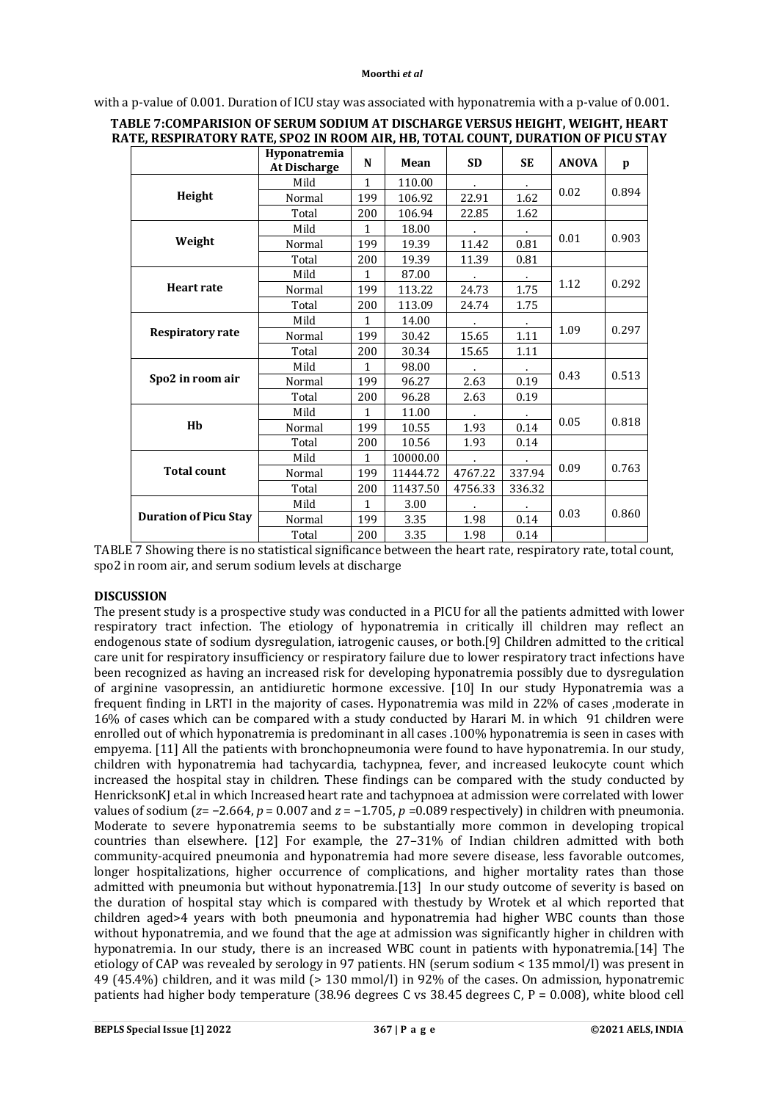|                              | Hyponatremia<br><b>At Discharge</b> | N            | Mean     | <b>SD</b> | <b>SE</b> | <b>ANOVA</b> | p     |
|------------------------------|-------------------------------------|--------------|----------|-----------|-----------|--------------|-------|
|                              | Mild                                | $\mathbf{1}$ | 110.00   |           |           |              |       |
| Height                       | Normal                              | 199          | 106.92   | 22.91     | 1.62      | 0.02         | 0.894 |
|                              | Total                               | 200          | 106.94   | 22.85     | 1.62      |              |       |
|                              | Mild                                | $\mathbf{1}$ | 18.00    | $\sim$    | $\sim$    |              |       |
| Weight                       | Normal                              | 199          | 19.39    | 11.42     | 0.81      | 0.01         | 0.903 |
|                              | Total                               | 200          | 19.39    | 11.39     | 0.81      |              |       |
|                              | Mild                                | $\mathbf{1}$ | 87.00    |           |           |              |       |
| <b>Heart rate</b>            | Normal                              | 199          | 113.22   | 24.73     | 1.75      | 1.12         | 0.292 |
|                              | Total                               | 200          | 113.09   | 24.74     | 1.75      |              |       |
|                              | Mild                                | $\mathbf{1}$ | 14.00    |           |           | 1.09         | 0.297 |
| <b>Respiratory rate</b>      | Normal                              | 199          | 30.42    | 15.65     | 1.11      |              |       |
|                              | Total                               | 200          | 30.34    | 15.65     | 1.11      |              |       |
| Spo2 in room air             | Mild                                | $\mathbf{1}$ | 98.00    |           |           |              | 0.513 |
|                              | Normal                              | 199          | 96.27    | 2.63      | 0.19      | 0.43         |       |
|                              | Total                               | 200          | 96.28    | 2.63      | 0.19      |              |       |
|                              | Mild                                | $\mathbf{1}$ | 11.00    |           |           |              | 0.818 |
| Hb                           | Normal                              | 199          | 10.55    | 1.93      | 0.14      | 0.05         |       |
|                              | Total                               | 200          | 10.56    | 1.93      | 0.14      |              |       |
|                              | Mild                                | $\mathbf{1}$ | 10000.00 | $\bullet$ | $\sim$    |              |       |
| <b>Total count</b>           | Normal                              | 199          | 11444.72 | 4767.22   | 337.94    | 0.09         | 0.763 |
|                              | Total                               | 200          | 11437.50 | 4756.33   | 336.32    |              |       |
|                              | Mild                                | $\mathbf{1}$ | 3.00     |           |           |              |       |
| <b>Duration of Picu Stay</b> | Normal                              | 199          | 3.35     | 1.98      | 0.14      | 0.03         | 0.860 |
|                              | Total                               | 200          | 3.35     | 1.98      | 0.14      |              |       |

# with a p-value of 0.001. Duration of ICU stay was associated with hyponatremia with a p-value of 0.001.

| TABLE 7:COMPARISION OF SERUM SODIUM AT DISCHARGE VERSUS HEIGHT, WEIGHT, HEART    |
|----------------------------------------------------------------------------------|
| RATE, RESPIRATORY RATE, SPO2 IN ROOM AIR, HB, TOTAL COUNT, DURATION OF PICU STAY |

TABLE 7 Showing there is no statistical significance between the heart rate, respiratory rate, total count, spo2 in room air, and serum sodium levels at discharge

## **DISCUSSION**

The present study is a prospective study was conducted in a PICU for all the patients admitted with lower respiratory tract infection. The etiology of hyponatremia in critically ill children may reflect an endogenous state of sodium dysregulation, iatrogenic causes, or both.[9] Children admitted to the critical care unit for respiratory insufficiency or respiratory failure due to lower respiratory tract infections have been recognized as having an increased risk for developing hyponatremia possibly due to dysregulation of arginine vasopressin, an antidiuretic hormone excessive. [10] In our study Hyponatremia was a frequent finding in LRTI in the majority of cases. Hyponatremia was mild in 22% of cases ,moderate in 16% of cases which can be compared with a study conducted by Harari M. in which 91 children were enrolled out of which hyponatremia is predominant in all cases .100% hyponatremia is seen in cases with empyema. [11] All the patients with bronchopneumonia were found to have hyponatremia. In our study, children with hyponatremia had tachycardia, tachypnea, fever, and increased leukocyte count which increased the hospital stay in children. These findings can be compared with the study conducted by HenricksonKJ et.al in which Increased heart rate and tachypnoea at admission were correlated with lower values of sodium ( $z=-2.664$ ,  $p = 0.007$  and  $z = -1.705$ ,  $p = 0.089$  respectively) in children with pneumonia. Moderate to severe hyponatremia seems to be substantially more common in developing tropical countries than elsewhere. [12] For example, the 27–31% of Indian children admitted with both community-acquired pneumonia and hyponatremia had more severe disease, less favorable outcomes, longer hospitalizations, higher occurrence of complications, and higher mortality rates than those admitted with pneumonia but without hyponatremia.[13] In our study outcome of severity is based on the duration of hospital stay which is compared with thestudy by Wrotek et al which reported that children aged>4 years with both pneumonia and hyponatremia had higher WBC counts than those without hyponatremia, and we found that the age at admission was significantly higher in children with hyponatremia. In our study, there is an increased WBC count in patients with hyponatremia.[14] The etiology of CAP was revealed by serology in 97 patients. HN (serum sodium < 135 mmol/l) was present in 49 (45.4%) children, and it was mild (> 130 mmol/l) in 92% of the cases. On admission, hyponatremic patients had higher body temperature (38.96 degrees C vs 38.45 degrees C, P = 0.008), white blood cell